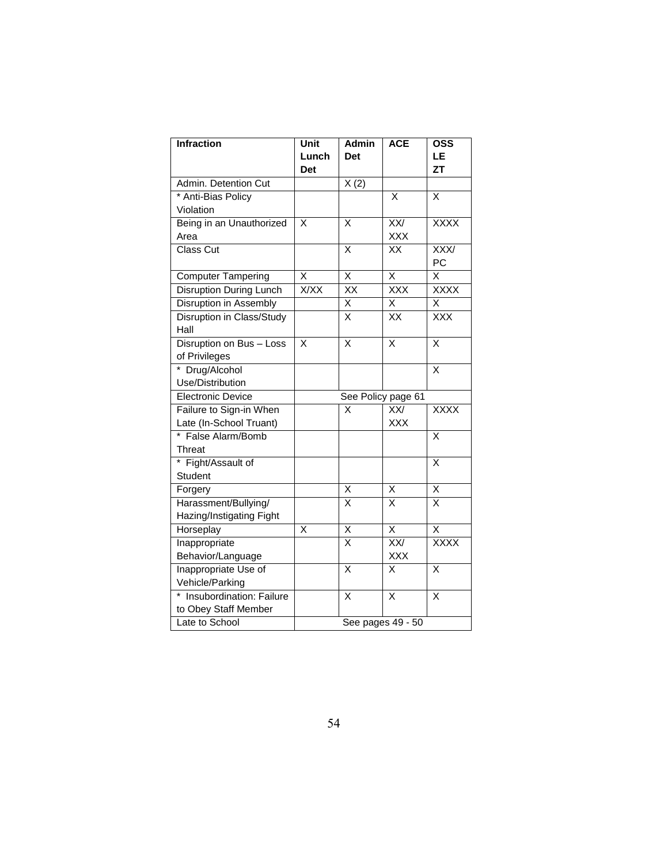| <b>Infraction</b>          | Unit                    | <b>Admin</b>            | <b>ACE</b>              | <b>OSS</b>              |  |
|----------------------------|-------------------------|-------------------------|-------------------------|-------------------------|--|
|                            | Lunch                   | <b>Det</b>              |                         | LE                      |  |
|                            | Det                     |                         |                         | <b>ZT</b>               |  |
| Admin. Detention Cut       |                         | $\overline{X(2)}$       |                         |                         |  |
| * Anti-Bias Policy         |                         |                         | X                       | X                       |  |
| Violation                  |                         |                         |                         |                         |  |
| Being in an Unauthorized   | X                       | X                       | $\overline{XX}$         | <b>XXXX</b>             |  |
| Area                       |                         |                         | <b>XXX</b>              |                         |  |
| Class Cut                  |                         | Χ                       | XX                      | $\overline{XXX}$        |  |
|                            |                         |                         |                         | PC                      |  |
| <b>Computer Tampering</b>  | X                       | X                       | Χ                       | Χ                       |  |
| Disruption During Lunch    | <b>X/XX</b>             | XX                      | <b>XXX</b>              | <b>XXXX</b>             |  |
| Disruption in Assembly     |                         | X                       | Χ                       | Χ                       |  |
| Disruption in Class/Study  |                         | $\overline{\mathsf{x}}$ | $\overline{XX}$         | $\overline{XXX}$        |  |
| Hall                       |                         |                         |                         |                         |  |
| Disruption on Bus - Loss   | X                       | Χ                       | Χ                       | X                       |  |
| of Privileges              |                         |                         |                         |                         |  |
| * Drug/Alcohol             |                         |                         |                         | X                       |  |
| Use/Distribution           |                         |                         |                         |                         |  |
| <b>Electronic Device</b>   | See Policy page 61      |                         |                         |                         |  |
| Failure to Sign-in When    |                         | X                       | XX/                     | <b>XXXX</b>             |  |
| Late (In-School Truant)    |                         |                         | <b>XXX</b>              |                         |  |
| * False Alarm/Bomb         |                         |                         |                         | X                       |  |
| <b>Threat</b>              |                         |                         |                         |                         |  |
| * Fight/Assault of         |                         |                         |                         | X                       |  |
| Student                    |                         |                         |                         |                         |  |
| Forgery                    |                         | Χ                       | х                       | X                       |  |
| Harassment/Bullying/       |                         | X                       | X                       | X                       |  |
| Hazing/Instigating Fight   |                         |                         |                         |                         |  |
| Horseplay                  | $\overline{\mathsf{x}}$ | $\overline{\mathsf{x}}$ | $\overline{\mathsf{x}}$ | $\overline{\mathsf{x}}$ |  |
| Inappropriate              |                         | $\overline{\mathsf{x}}$ | XX/                     | <b>XXXX</b>             |  |
| Behavior/Language          |                         |                         | <b>XXX</b>              |                         |  |
| Inappropriate Use of       |                         | $\overline{\mathsf{x}}$ | X                       | $\overline{\mathsf{x}}$ |  |
| Vehicle/Parking            |                         |                         |                         |                         |  |
| * Insubordination: Failure |                         | Χ                       | X                       | X                       |  |
| to Obey Staff Member       |                         |                         |                         |                         |  |
| Late to School             | See pages 49 - 50       |                         |                         |                         |  |